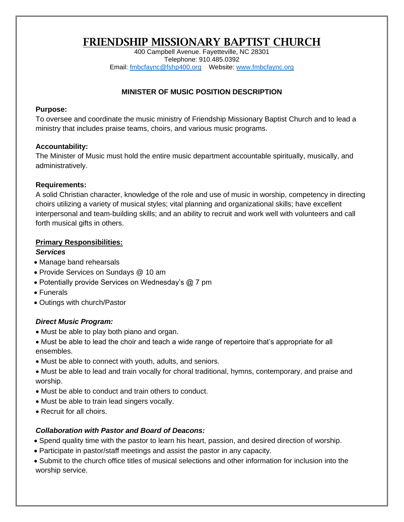# FRIENDSHIP MISSIONARY BAPTIST CHURCH

400 Campbell Avenue. Fayetteville, NC 28301 Telephone: 910.485.0392 Email: [fmbcfaync@fshp400.org](mailto:fmbcfaync@fshp400.org) Website: [www.fmbcfaync.org](http://www.fmbcfaync.org/)

## **MINISTER OF MUSIC POSITION DESCRIPTION**

#### **Purpose:**

To oversee and coordinate the music ministry of Friendship Missionary Baptist Church and to lead a ministry that includes praise teams, choirs, and various music programs.

### **Accountability:**

The Minister of Music must hold the entire music department accountable spiritually, musically, and administratively.

### **Requirements:**

A solid Christian character, knowledge of the role and use of music in worship, competency in directing choirs utilizing a variety of musical styles; vital planning and organizational skills; have excellent interpersonal and team-building skills; and an ability to recruit and work well with volunteers and call forth musical gifts in others.

### **Primary Responsibilities:**

### *Services*

- Manage band rehearsals
- Provide Services on Sundays @ 10 am
- Potentially provide Services on Wednesday's @ 7 pm
- Funerals
- Outings with church/Pastor

## *Direct Music Program:*

- Must be able to play both piano and organ.
- Must be able to lead the choir and teach a wide range of repertoire that's appropriate for all ensembles.
- Must be able to connect with youth, adults, and seniors.
- Must be able to lead and train vocally for choral traditional, hymns, contemporary, and praise and worship.
- Must be able to conduct and train others to conduct.
- Must be able to train lead singers vocally.
- Recruit for all choirs.

## *Collaboration with Pastor and Board of Deacons:*

- Spend quality time with the pastor to learn his heart, passion, and desired direction of worship.
- Participate in pastor/staff meetings and assist the pastor in any capacity.
- Submit to the church office titles of musical selections and other information for inclusion into the worship service.